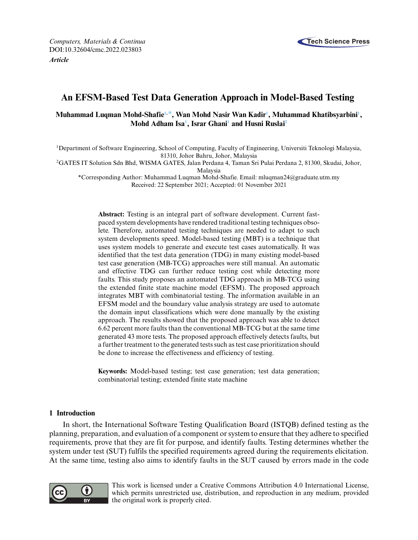

# **An EFSM-Based Test Data Generation Approach in Model-Based Testing**

# **Muhammad Luqman Mohd-Shafi[e1,](#page-0-0) [\\*,](#page-0-1) Wan Mohd Nasir Wan Kadi[r1](#page-0-0) , Muhammad Khatibsyarbin[i1](#page-0-0) , Mohd Adham Is[a1](#page-0-0) , Israr Ghan[i1](#page-0-0) and Husni Rusla[i2](#page-0-2)**

<span id="page-0-0"></span>1Department of Software Engineering, School of Computing, Faculty of Engineering, Universiti Teknologi Malaysia, 81310, Johor Bahru, Johor, Malaysia

<span id="page-0-2"></span>2GATES IT Solution Sdn Bhd, WISMA GATES, Jalan Perdana 4, Taman Sri Pulai Perdana 2, 81300, Skudai, Johor,

Malaysia

<span id="page-0-1"></span>\*Corresponding Author: Muhammad Luqman Mohd-Shafie. Email: [mluqman24@graduate.utm.my](mailto:mluqman24@graduate.utm.my) Received: 22 September 2021; Accepted: 01 November 2021

**Abstract:** Testing is an integral part of software development. Current fastpaced system developments have rendered traditional testing techniques obsolete. Therefore, automated testing techniques are needed to adapt to such system developments speed. Model-based testing (MBT) is a technique that uses system models to generate and execute test cases automatically. It was identified that the test data generation (TDG) in many existing model-based test case generation (MB-TCG) approaches were still manual. An automatic and effective TDG can further reduce testing cost while detecting more faults. This study proposes an automated TDG approach in MB-TCG using the extended finite state machine model (EFSM). The proposed approach integrates MBT with combinatorial testing. The information available in an EFSM model and the boundary value analysis strategy are used to automate the domain input classifications which were done manually by the existing approach. The results showed that the proposed approach was able to detect 6.62 percent more faults than the conventional MB-TCG but at the same time generated 43 more tests. The proposed approach effectively detects faults, but a further treatment to the generated tests such as test case prioritization should be done to increase the effectiveness and efficiency of testing.

**Keywords:** Model-based testing; test case generation; test data generation; combinatorial testing; extended finite state machine

# **1 Introduction**

In short, the International Software Testing Qualification Board (ISTQB) defined testing as the planning, preparation, and evaluation of a component or system to ensure that they adhere to specified requirements, prove that they are fit for purpose, and identify faults. Testing determines whether the system under test (SUT) fulfils the specified requirements agreed during the requirements elicitation. At the same time, testing also aims to identify faults in the SUT caused by errors made in the code



This work is licensed under a Creative Commons Attribution 4.0 International License, which permits unrestricted use, distribution, and reproduction in any medium, provided the original work is properly cited.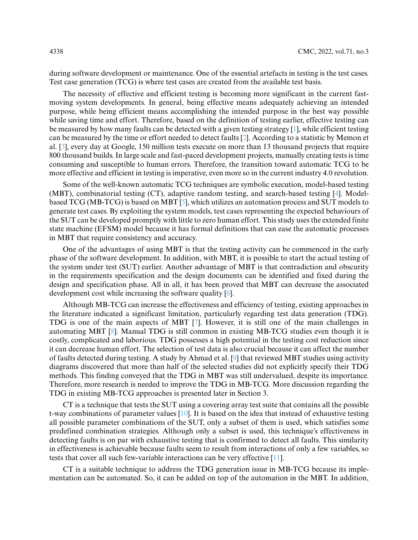during software development or maintenance. One of the essential artefacts in testing is the test cases. Test case generation (TCG) is where test cases are created from the available test basis.

The necessity of effective and efficient testing is becoming more significant in the current fastmoving system developments. In general, being effective means adequately achieving an intended purpose, while being efficient means accomplishing the intended purpose in the best way possible while saving time and effort. Therefore, based on the definition of testing earlier, effective testing can be measured by how many faults can be detected with a given testing strategy [\[1\]](#page-15-0), while efficient testing can be measured by the time or effort needed to detect faults [\[2\]](#page-15-1). According to a statistic by Memon et al. [\[3\]](#page-15-2), every day at Google, 150 million tests execute on more than 13 thousand projects that require 800 thousand builds. In large scale and fast-paced development projects, manually creating tests is time consuming and susceptible to human errors. Therefore, the transition toward automatic TCG to be more effective and efficient in testing is imperative, even more so in the current industry 4.0 revolution.

Some of the well-known automatic TCG techniques are symbolic execution, model-based testing (MBT), combinatorial testing (CT), adaptive random testing, and search-based testing [\[4\]](#page-15-3). Modelbased TCG (MB-TCG) is based on MBT [\[5\]](#page-15-4), which utilizes an automation process and SUT models to generate test cases. By exploiting the system models, test cases representing the expected behaviours of the SUT can be developed promptly with little to zero human effort. This study uses the extended finite state machine (EFSM) model because it has formal definitions that can ease the automatic processes in MBT that require consistency and accuracy.

One of the advantages of using MBT is that the testing activity can be commenced in the early phase of the software development. In addition, with MBT, it is possible to start the actual testing of the system under test (SUT) earlier. Another advantage of MBT is that contradiction and obscurity in the requirements specification and the design documents can be identified and fixed during the design and specification phase. All in all, it has been proved that MBT can decrease the associated development cost while increasing the software quality [\[6\]](#page-15-5).

Although MB-TCG can increase the effectiveness and efficiency of testing, existing approaches in the literature indicated a significant limitation, particularly regarding test data generation (TDG). TDG is one of the main aspects of MBT [\[7\]](#page-15-6). However, it is still one of the main challenges in automating MBT [\[8\]](#page-15-7). Manual TDG is still common in existing MB-TCG studies even though it is costly, complicated and laborious. TDG possesses a high potential in the testing cost reduction since it can decrease human effort. The selection of test data is also crucial because it can affect the number of faults detected during testing. A study by Ahmad et al. [\[9\]](#page-15-8) that reviewed MBT studies using activity diagrams discovered that more than half of the selected studies did not explicitly specify their TDG methods. This finding conveyed that the TDG in MBT was still undervalued, despite its importance. Therefore, more research is needed to improve the TDG in MB-TCG. More discussion regarding the TDG in existing MB-TCG approaches is presented later in Section 3.

CT is a technique that tests the SUT using a covering array test suite that contains all the possible t-way combinations of parameter values [\[10\]](#page-15-9). It is based on the idea that instead of exhaustive testing all possible parameter combinations of the SUT, only a subset of them is used, which satisfies some predefined combination strategies. Although only a subset is used, this technique's effectiveness in detecting faults is on par with exhaustive testing that is confirmed to detect all faults. This similarity in effectiveness is achievable because faults seem to result from interactions of only a few variables, so tests that cover all such few-variable interactions can be very effective [\[11\]](#page-16-0).

CT is a suitable technique to address the TDG generation issue in MB-TCG because its implementation can be automated. So, it can be added on top of the automation in the MBT. In addition,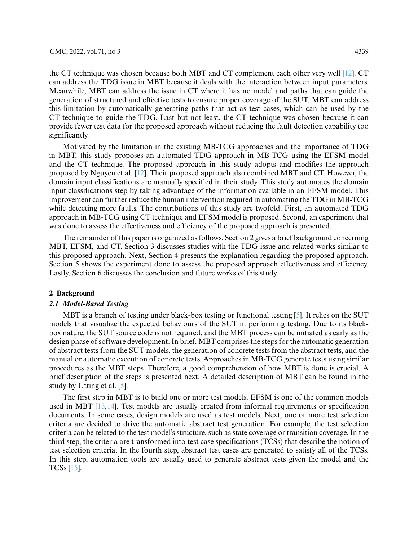the CT technique was chosen because both MBT and CT complement each other very well [\[12\]](#page-16-1). CT can address the TDG issue in MBT because it deals with the interaction between input parameters. Meanwhile, MBT can address the issue in CT where it has no model and paths that can guide the generation of structured and effective tests to ensure proper coverage of the SUT. MBT can address this limitation by automatically generating paths that act as test cases, which can be used by the CT technique to guide the TDG. Last but not least, the CT technique was chosen because it can provide fewer test data for the proposed approach without reducing the fault detection capability too significantly.

Motivated by the limitation in the existing MB-TCG approaches and the importance of TDG in MBT, this study proposes an automated TDG approach in MB-TCG using the EFSM model and the CT technique. The proposed approach in this study adopts and modifies the approach proposed by Nguyen et al. [\[12\]](#page-16-1). Their proposed approach also combined MBT and CT. However, the domain input classifications are manually specified in their study. This study automates the domain input classifications step by taking advantage of the information available in an EFSM model. This improvement can further reduce the human intervention required in automating the TDG in MB-TCG while detecting more faults. The contributions of this study are twofold. First, an automated TDG approach in MB-TCG using CT technique and EFSM model is proposed. Second, an experiment that was done to assess the effectiveness and efficiency of the proposed approach is presented.

The remainder of this paper is organized as follows. Section 2 gives a brief background concerning MBT, EFSM, and CT. Section 3 discusses studies with the TDG issue and related works similar to this proposed approach. Next, Section 4 presents the explanation regarding the proposed approach. Section 5 shows the experiment done to assess the proposed approach effectiveness and efficiency. Lastly, Section 6 discusses the conclusion and future works of this study.

#### **2 Background**

# *2.1 Model-Based Testing*

MBT is a branch of testing under black-box testing or functional testing [\[5\]](#page-15-4). It relies on the SUT models that visualize the expected behaviours of the SUT in performing testing. Due to its blackbox nature, the SUT source code is not required, and the MBT process can be initiated as early as the design phase of software development. In brief, MBT comprises the steps for the automatic generation of abstract tests from the SUT models, the generation of concrete tests from the abstract tests, and the manual or automatic execution of concrete tests. Approaches in MB-TCG generate tests using similar procedures as the MBT steps. Therefore, a good comprehension of how MBT is done is crucial. A brief description of the steps is presented next. A detailed description of MBT can be found in the study by Utting et al. [\[5\]](#page-15-4).

The first step in MBT is to build one or more test models. EFSM is one of the common models used in MBT [\[13,](#page-16-2)[14\]](#page-16-3). Test models are usually created from informal requirements or specification documents. In some cases, design models are used as test models. Next, one or more test selection criteria are decided to drive the automatic abstract test generation. For example, the test selection criteria can be related to the test model's structure, such as state coverage or transition coverage. In the third step, the criteria are transformed into test case specifications (TCSs) that describe the notion of test selection criteria. In the fourth step, abstract test cases are generated to satisfy all of the TCSs. In this step, automation tools are usually used to generate abstract tests given the model and the TCSs [\[15\]](#page-16-4).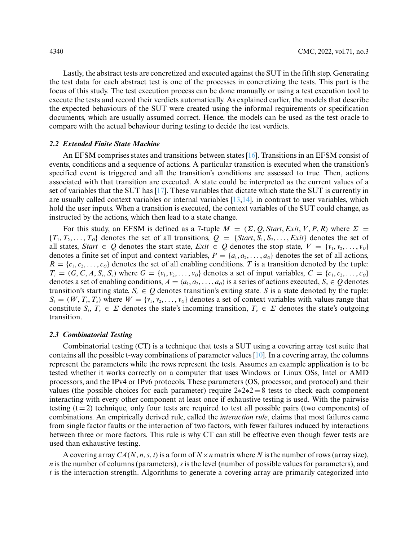Lastly, the abstract tests are concretized and executed against the SUT in the fifth step. Generating the test data for each abstract test is one of the processes in concretizing the tests. This part is the focus of this study. The test execution process can be done manually or using a test execution tool to execute the tests and record their verdicts automatically. As explained earlier, the models that describe the expected behaviours of the SUT were created using the informal requirements or specification documents, which are usually assumed correct. Hence, the models can be used as the test oracle to compare with the actual behaviour during testing to decide the test verdicts.

# *2.2 Extended Finite State Machine*

An EFSM comprises states and transitions between states [\[16\]](#page-16-5). Transitions in an EFSM consist of events, conditions and a sequence of actions. A particular transition is executed when the transition's specified event is triggered and all the transition's conditions are assessed to true. Then, actions associated with that transition are executed. A state could be interpreted as the current values of a set of variables that the SUT has [\[17\]](#page-16-6). These variables that dictate which state the SUT is currently in are usually called context variables or internal variables  $[13,14]$  $[13,14]$ , in contrast to user variables, which hold the user inputs. When a transition is executed, the context variables of the SUT could change, as instructed by the actions, which then lead to a state change.

For this study, an EFSM is defined as a 7-tuple  $M = (\Sigma, Q, Start, Ext, V, P, R)$  where  $\Sigma =$  ${T_1, T_2, \ldots, T_0}$  denotes the set of all transitions,  $Q = {Start, S_1, S_2, \ldots, Exit}$  denotes the set of all states, *Start*  $\in Q$  denotes the start state, *Exit*  $\in Q$  denotes the stop state,  $V = \{v_1, v_2, \ldots, v_0\}$ denotes a finite set of input and context variables,  $P = \{a_1, a_2, \ldots, a_0\}$  denotes the set of all actions,  $R = \{c_1, c_2, \ldots, c_0\}$  denotes the set of all enabling conditions. *T* is a transition denoted by the tuple:  $T_i = (G, C, A, S_i, S_i)$  where  $G = \{v_1, v_2, \dots, v_0\}$  denotes a set of input variables,  $C = \{c_1, c_2, \dots, c_0\}$ denotes a set of enabling conditions,  $A = \langle a_1, a_2, \ldots, a_n \rangle$  is a series of actions executed,  $S_s \in \mathcal{Q}$  denotes transition's starting state,  $S_e \in Q$  denotes transition's exiting state. *S* is a state denoted by the tuple:  $S_i = (W, T_s, T_e)$  where  $W = \{v_1, v_2, \ldots, v_0\}$  denotes a set of context variables with values range that constitute  $S_i$ ,  $T_s \in \Sigma$  denotes the state's incoming transition,  $T_e \in \Sigma$  denotes the state's outgoing transition.

#### *2.3 Combinatorial Testing*

Combinatorial testing (CT) is a technique that tests a SUT using a covering array test suite that contains all the possible t-way combinations of parameter values [\[10\]](#page-15-9). In a covering array, the columns represent the parameters while the rows represent the tests. Assumes an example application is to be tested whether it works correctly on a computer that uses Windows or Linux OSs, Intel or AMD processors, and the IPv4 or IPv6 protocols. These parameters (OS, processor, and protocol) and their values (the possible choices for each parameter) require  $2*2*2 = 8$  tests to check each component interacting with every other component at least once if exhaustive testing is used. With the pairwise testing  $(t = 2)$  technique, only four tests are required to test all possible pairs (two components) of combinations. An empirically derived rule, called the *interaction rule*, claims that most failures came from single factor faults or the interaction of two factors, with fewer failures induced by interactions between three or more factors. This rule is why CT can still be effective even though fewer tests are used than exhaustive testing.

A covering array  $CA(N, n, s, t)$  is a form of  $N \times n$  matrix where N is the number of rows (array size), *n* is the number of columns (parameters), *s* is the level (number of possible values for parameters), and *t* is the interaction strength. Algorithms to generate a covering array are primarily categorized into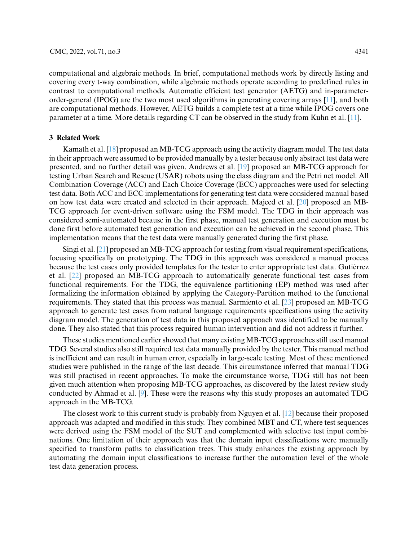computational and algebraic methods. In brief, computational methods work by directly listing and covering every t-way combination, while algebraic methods operate according to predefined rules in

contrast to computational methods. Automatic efficient test generator (AETG) and in-parameterorder-general (IPOG) are the two most used algorithms in generating covering arrays [\[11\]](#page-16-0), and both are computational methods. However, AETG builds a complete test at a time while IPOG covers one parameter at a time. More details regarding CT can be observed in the study from Kuhn et al. [\[11\]](#page-16-0).

# **3 Related Work**

Kamath et al. [\[18\]](#page-16-7) proposed an MB-TCG approach using the activity diagram model. The test data in their approach were assumed to be provided manually by a tester because only abstract test data were presented, and no further detail was given. Andrews et al. [\[19\]](#page-16-8) proposed an MB-TCG approach for testing Urban Search and Rescue (USAR) robots using the class diagram and the Petri net model. All Combination Coverage (ACC) and Each Choice Coverage (ECC) approaches were used for selecting test data. Both ACC and ECC implementations for generating test data were considered manual based on how test data were created and selected in their approach. Majeed et al. [\[20\]](#page-16-9) proposed an MB-TCG approach for event-driven software using the FSM model. The TDG in their approach was considered semi-automated because in the first phase, manual test generation and execution must be done first before automated test generation and execution can be achieved in the second phase. This implementation means that the test data were manually generated during the first phase.

Singi et al. [\[21\]](#page-16-10) proposed an MB-TCG approach for testing from visual requirement specifications, focusing specifically on prototyping. The TDG in this approach was considered a manual process because the test cases only provided templates for the tester to enter appropriate test data. Gutiérrez et al. [\[22\]](#page-16-11) proposed an MB-TCG approach to automatically generate functional test cases from functional requirements. For the TDG, the equivalence partitioning (EP) method was used after formalizing the information obtained by applying the Category-Partition method to the functional requirements. They stated that this process was manual. Sarmiento et al. [\[23\]](#page-16-12) proposed an MB-TCG approach to generate test cases from natural language requirements specifications using the activity diagram model. The generation of test data in this proposed approach was identified to be manually done. They also stated that this process required human intervention and did not address it further.

These studies mentioned earlier showed that many existing MB-TCG approaches still used manual TDG. Several studies also still required test data manually provided by the tester. This manual method is inefficient and can result in human error, especially in large-scale testing. Most of these mentioned studies were published in the range of the last decade. This circumstance inferred that manual TDG was still practised in recent approaches. To make the circumstance worse, TDG still has not been given much attention when proposing MB-TCG approaches, as discovered by the latest review study conducted by Ahmad et al. [\[9\]](#page-15-8). These were the reasons why this study proposes an automated TDG approach in the MB-TCG.

The closest work to this current study is probably from Nguyen et al. [\[12\]](#page-16-1) because their proposed approach was adapted and modified in this study. They combined MBT and CT, where test sequences were derived using the FSM model of the SUT and complemented with selective test input combinations. One limitation of their approach was that the domain input classifications were manually specified to transform paths to classification trees. This study enhances the existing approach by automating the domain input classifications to increase further the automation level of the whole test data generation process.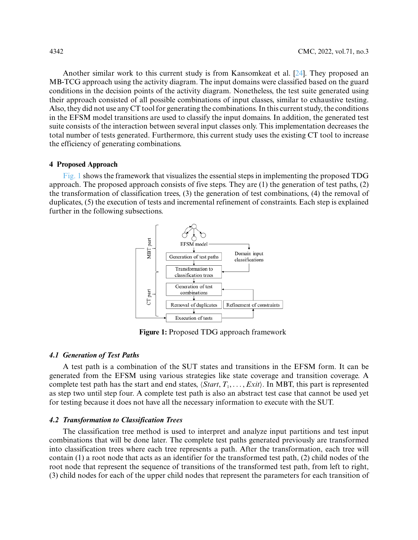Another similar work to this current study is from Kansomkeat et al. [\[24\]](#page-16-13). They proposed an MB-TCG approach using the activity diagram. The input domains were classified based on the guard conditions in the decision points of the activity diagram. Nonetheless, the test suite generated using their approach consisted of all possible combinations of input classes, similar to exhaustive testing. Also, they did not use any CT tool for generating the combinations. In this current study, the conditions in the EFSM model transitions are used to classify the input domains. In addition, the generated test suite consists of the interaction between several input classes only. This implementation decreases the total number of tests generated. Furthermore, this current study uses the existing CT tool to increase the efficiency of generating combinations.

## **4 Proposed Approach**

[Fig. 1](#page-5-0) shows the framework that visualizes the essential steps in implementing the proposed TDG approach. The proposed approach consists of five steps. They are (1) the generation of test paths, (2) the transformation of classification trees, (3) the generation of test combinations, (4) the removal of duplicates, (5) the execution of tests and incremental refinement of constraints. Each step is explained further in the following subsections.



**Figure 1:** Proposed TDG approach framework

#### <span id="page-5-0"></span>*4.1 Generation of Test Paths*

A test path is a combination of the SUT states and transitions in the EFSM form. It can be generated from the EFSM using various strategies like state coverage and transition coverage. A complete test path has the start and end states,  $\langle Start, T_1, \ldots, Ext \rangle$ . In MBT, this part is represented as step two until step four. A complete test path is also an abstract test case that cannot be used yet for testing because it does not have all the necessary information to execute with the SUT.

# *4.2 Transformation to Classification Trees*

The classification tree method is used to interpret and analyze input partitions and test input combinations that will be done later. The complete test paths generated previously are transformed into classification trees where each tree represents a path. After the transformation, each tree will contain (1) a root node that acts as an identifier for the transformed test path, (2) child nodes of the root node that represent the sequence of transitions of the transformed test path, from left to right, (3) child nodes for each of the upper child nodes that represent the parameters for each transition of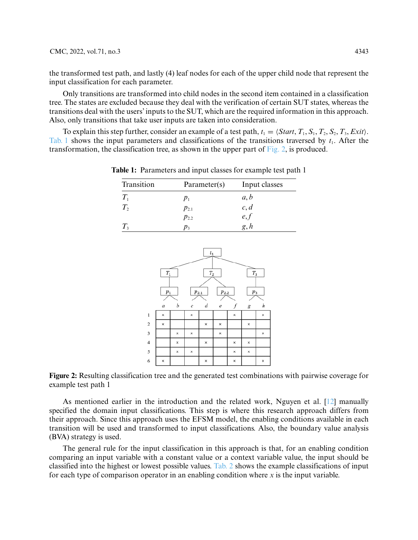the transformed test path, and lastly (4) leaf nodes for each of the upper child node that represent the input classification for each parameter.

Only transitions are transformed into child nodes in the second item contained in a classification tree. The states are excluded because they deal with the verification of certain SUT states, whereas the transitions deal with the users' inputs to the SUT, which are the required information in this approach. Also, only transitions that take user inputs are taken into consideration.

<span id="page-6-0"></span>To explain this step further, consider an example of a test path,  $t_1 = \langle Start, T_1, S_1, T_2, S_2, T_3, Ext \rangle$ . [Tab. 1](#page-6-0) shows the input parameters and classifications of the transitions traversed by  $t_1$ . After the transformation, the classification tree, as shown in the upper part of [Fig. 2,](#page-6-1) is produced.

| Transition  | Parameter(s) | Input classes |
|-------------|--------------|---------------|
| $T_{1}$     | $p_{1}$      | a, b          |
| $T_{2}$     | $p_{2,1}$    | c, d          |
|             | $p_{2,2}$    | e, f          |
| $T_{\rm s}$ | D٦           | g, h          |

**Table 1:** Parameters and input classes for example test path 1



<span id="page-6-1"></span>**Figure 2:** Resulting classification tree and the generated test combinations with pairwise coverage for example test path 1

As mentioned earlier in the introduction and the related work, Nguyen et al. [\[12\]](#page-16-1) manually specified the domain input classifications. This step is where this research approach differs from their approach. Since this approach uses the EFSM model, the enabling conditions available in each transition will be used and transformed to input classifications. Also, the boundary value analysis (BVA) strategy is used.

The general rule for the input classification in this approach is that, for an enabling condition comparing an input variable with a constant value or a context variable value, the input should be classified into the highest or lowest possible values. [Tab. 2](#page-7-0) shows the example classifications of input for each type of comparison operator in an enabling condition where *x* is the input variable.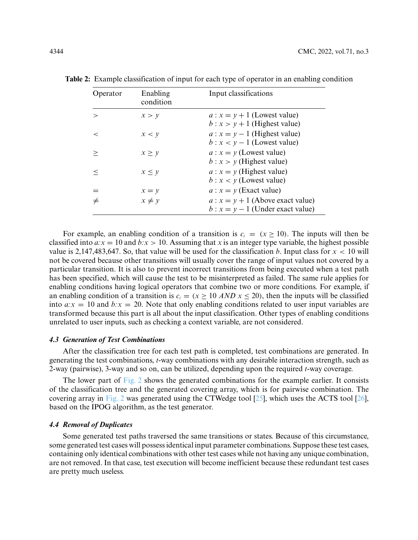| Operator | Enabling<br>condition | Input classifications                                                    |
|----------|-----------------------|--------------------------------------------------------------------------|
| $\gt$    | x > v                 | $a: x = y + 1$ (Lowest value)<br>$b: x > y + 1$ (Highest value)          |
| $\,<\,$  | x < y                 | $a: x = y - 1$ (Highest value)<br>$b: x < y - 1$ (Lowest value)          |
| >        | x > y                 | $a: x = y$ (Lowest value)<br>$b: x > y$ (Highest value)                  |
| $\,<\,$  | $x \leq y$            | $a: x = y$ (Highest value)<br>$b: x < y$ (Lowest value)                  |
|          | $x = y$               | $a: x = y$ (Exact value)                                                 |
| $\neq$   | $x \neq y$            | $a: x = y + 1$ (Above exact value)<br>$b: x = y - 1$ (Under exact value) |

<span id="page-7-0"></span>**Table 2:** Example classification of input for each type of operator in an enabling condition

For example, an enabling condition of a transition is  $c_i = (x \ge 10)$ . The inputs will then be classified into  $a:x = 10$  and  $b:x > 10$ . Assuming that x is an integer type variable, the highest possible value is 2,147,483,647. So, that value will be used for the classification *b*. Input class for  $x < 10$  will not be covered because other transitions will usually cover the range of input values not covered by a particular transition. It is also to prevent incorrect transitions from being executed when a test path has been specified, which will cause the test to be misinterpreted as failed. The same rule applies for enabling conditions having logical operators that combine two or more conditions. For example, if an enabling condition of a transition is  $c_i = (x > 10 \text{ AND } x < 20)$ , then the inputs will be classified into  $a:x = 10$  and  $b:x = 20$ . Note that only enabling conditions related to user input variables are transformed because this part is all about the input classification. Other types of enabling conditions unrelated to user inputs, such as checking a context variable, are not considered.

# *4.3 Generation of Test Combinations*

After the classification tree for each test path is completed, test combinations are generated. In generating the test combinations, *t*-way combinations with any desirable interaction strength, such as 2-way (pairwise), 3-way and so on, can be utilized, depending upon the required *t*-way coverage.

The lower part of [Fig. 2](#page-6-1) shows the generated combinations for the example earlier. It consists of the classification tree and the generated covering array, which is for pairwise combination. The covering array in [Fig. 2](#page-6-1) was generated using the CTWedge tool [\[25\]](#page-16-14), which uses the ACTS tool [\[26\]](#page-16-15), based on the IPOG algorithm, as the test generator.

### *4.4 Removal of Duplicates*

Some generated test paths traversed the same transitions or states. Because of this circumstance, some generated test cases will possess identical input parameter combinations. Suppose these test cases, containing only identical combinations with other test cases while not having any unique combination, are not removed. In that case, test execution will become inefficient because these redundant test cases are pretty much useless.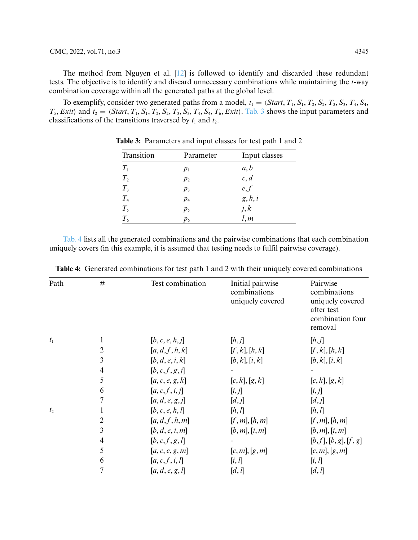# CMC, 2022, vol.71, no.3 4345

The method from Nguyen et al. [\[12\]](#page-16-1) is followed to identify and discarded these redundant tests. The objective is to identify and discard unnecessary combinations while maintaining the *t*-way combination coverage within all the generated paths at the global level.

<span id="page-8-0"></span>To exemplify, consider two generated paths from a model,  $t_1 = \langle Start, T_1, S_1, T_2, S_2, T_3, S_3, T_4, S_4, T_5, T_6, T_7, T_7, T_8, T_9, T_1, T_1, T_2, T_1, T_2, T_4, T_1, T_2, T_3, T_4, T_4, T_5, T_6, T_7, T_7, T_8, T_9, T_1, T_1, T_2, T_1, T_2, T_3, T_4, T_4$  $T_5$ , *Exit*) and  $t_2 = \langle Start, T_1, S_1, T_2, S_2, T_3, S_3, T_4, S_4, T_6, Exit \rangle$ . [Tab. 3](#page-8-0) shows the input parameters and classifications of the transitions traversed by  $t_1$  and  $t_2$ .

| Transition | Parameter      | Input classes    |
|------------|----------------|------------------|
| $T_{1}$    | $p_1$          |                  |
| $T_{2}$    | $p_2$          | $a, b$<br>$c, d$ |
| $T_{3}$    | $p_3$          | e, f             |
| $T_{4}$    | $p_4$          | g, h, i          |
| $T_5$      | p <sub>5</sub> | j, k             |
| $T_{6}$    | $p_6$          | $\tilde{l}, m$   |

**Table 3:** Parameters and input classes for test path 1 and 2

[Tab. 4](#page-8-1) lists all the generated combinations and the pairwise combinations that each combination uniquely covers (in this example, it is assumed that testing needs to fulfil pairwise coverage).

| Path           | #              | Test combination    | Initial pairwise<br>combinations<br>uniquely covered | Pairwise<br>combinations<br>uniquely covered<br>after test<br>combination four<br>removal |
|----------------|----------------|---------------------|------------------------------------------------------|-------------------------------------------------------------------------------------------|
| $t_1$          |                | [b, c, e, h, j]     | [h,j]                                                | [h,j]                                                                                     |
|                | $\overline{c}$ | [a,d,f,h,k]         | [f, k], [h, k]                                       | [f, k], [h, k]                                                                            |
|                | 3              | [b,d,e,i,k]         | [b, k], [i, k]                                       | [b, k], [i, k]                                                                            |
|                | $\overline{4}$ | [b,c,f,g,j]         |                                                      |                                                                                           |
|                | 5              | [a,c,e,g,k]         | [c, k], [g, k]                                       | [c, k], [g, k]                                                                            |
|                | 6              | [a,c,f,i,j]         | [i,j]                                                | [i, j]                                                                                    |
|                | 7              | [a,d,e,g,j]         | [d,j]                                                | [d,j]                                                                                     |
| t <sub>2</sub> |                | [b, c, e, h, l]     | [h, l]                                               | [h, l]                                                                                    |
|                | $\overline{c}$ | [a,d,f,h,m]         | [f,m],[h,m]                                          | [f,m],[h,m]                                                                               |
|                | 3              | [b,d,e,i,m]         | [b,m],[i,m]                                          | [b,m],[i,m]                                                                               |
|                | $\overline{4}$ | [b,c,f,g,l]         |                                                      | [b, f], [b, g], [f, g]                                                                    |
|                | 5              | [a, c, e, g, m]     | [c, m], [g, m]                                       | [c, m], [g, m]                                                                            |
|                | 6              | [a,c,f,i,l]         | [i, l]                                               | [i, l]                                                                                    |
|                | 7              | [ $a, d, e, g, l$ ] | [d, l]                                               | [d, l]                                                                                    |

<span id="page-8-1"></span>**Table 4:** Generated combinations for test path 1 and 2 with their uniquely covered combinations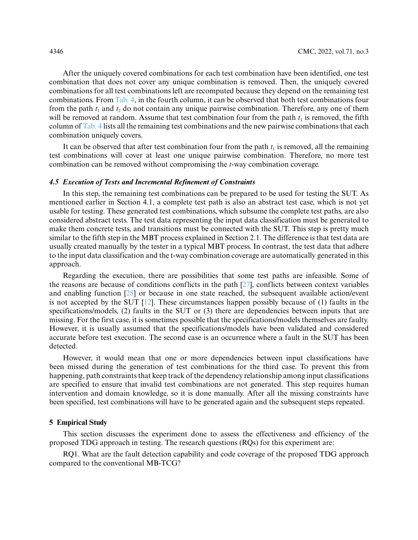After the uniquely covered combinations for each test combination have been identified, one test combination that does not cover any unique combination is removed. Then, the uniquely covered combinations for all test combinations left are recomputed because they depend on the remaining test combinations. From [Tab. 4,](#page-8-1) in the fourth column, it can be observed that both test combinations four from the path  $t_1$  and  $t_2$  do not contain any unique pairwise combination. Therefore, any one of them will be removed at random. Assume that test combination four from the path  $t<sub>1</sub>$  is removed, the fifth column of [Tab. 4](#page-8-1) lists all the remaining test combinations and the new pairwise combinations that each combination uniquely covers.

It can be observed that after test combination four from the path  $t<sub>1</sub>$  is removed, all the remaining test combinations will cover at least one unique pairwise combination. Therefore, no more test combination can be removed without compromising the *t*-way combination coverage.

#### *4.5 Execution of Tests and Incremental Refinement of Constraints*

In this step, the remaining test combinations can be prepared to be used for testing the SUT. As mentioned earlier in Section 4.1, a complete test path is also an abstract test case, which is not yet usable for testing. These generated test combinations, which subsume the complete test paths, are also considered abstract tests. The test data representing the input data classification must be generated to make them concrete tests, and transitions must be connected with the SUT. This step is pretty much similar to the fifth step in the MBT process explained in Section 2.1. The difference is that test data are usually created manually by the tester in a typical MBT process. In contrast, the test data that adhere to the input data classification and the t-way combination coverage are automatically generated in this approach.

Regarding the execution, there are possibilities that some test paths are infeasible. Some of the reasons are because of conditions conflicts in the path [\[27\]](#page-16-16), conflicts between context variables and enabling function [\[28\]](#page-16-17) or because in one state reached, the subsequent available action/event is not accepted by the SUT [\[12\]](#page-16-1). These circumstances happen possibly because of (1) faults in the specifications/models, (2) faults in the SUT or (3) there are dependencies between inputs that are missing. For the first case, it is sometimes possible that the specifications/models themselves are faulty. However, it is usually assumed that the specifications/models have been validated and considered accurate before test execution. The second case is an occurrence where a fault in the SUT has been detected.

However, it would mean that one or more dependencies between input classifications have been missed during the generation of test combinations for the third case. To prevent this from happening, path constraints that keep track of the dependency relationship among input classifications are specified to ensure that invalid test combinations are not generated. This step requires human intervention and domain knowledge, so it is done manually. After all the missing constraints have been specified, test combinations will have to be generated again and the subsequent steps repeated.

#### **5 Empirical Study**

This section discusses the experiment done to assess the effectiveness and efficiency of the proposed TDG approach in testing. The research questions (RQs) for this experiment are:

RQ1. What are the fault detection capability and code coverage of the proposed TDG approach compared to the conventional MB-TCG?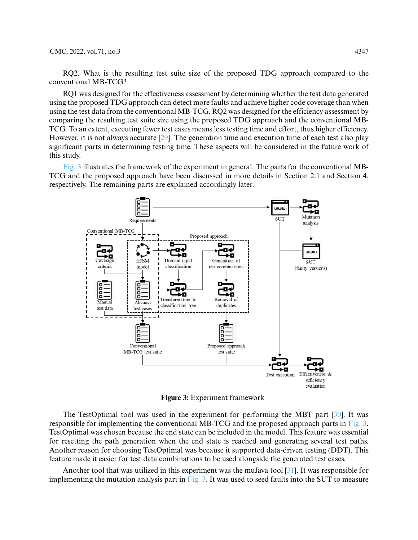RQ2. What is the resulting test suite size of the proposed TDG approach compared to the conventional MB-TCG?

RQ1 was designed for the effectiveness assessment by determining whether the test data generated using the proposed TDG approach can detect more faults and achieve higher code coverage than when using the test data from the conventional MB-TCG. RQ2 was designed for the efficiency assessment by comparing the resulting test suite size using the proposed TDG approach and the conventional MB-TCG. To an extent, executing fewer test cases means less testing time and effort, thus higher efficiency. However, it is not always accurate [\[29\]](#page-16-18). The generation time and execution time of each test also play significant parts in determining testing time. These aspects will be considered in the future work of this study.

[Fig. 3](#page-10-0) illustrates the framework of the experiment in general. The parts for the conventional MB-TCG and the proposed approach have been discussed in more details in Section 2.1 and Section 4, respectively. The remaining parts are explained accordingly later.



**Figure 3:** Experiment framework

<span id="page-10-0"></span>The TestOptimal tool was used in the experiment for performing the MBT part [\[30\]](#page-16-19). It was responsible for implementing the conventional MB-TCG and the proposed approach parts in [Fig. 3.](#page-10-0) TestOptimal was chosen because the end state can be included in the model. This feature was essential for resetting the path generation when the end state is reached and generating several test paths. Another reason for choosing TestOptimal was because it supported data-driven testing (DDT). This feature made it easier for test data combinations to be used alongside the generated test cases.

Another tool that was utilized in this experiment was the muJava tool [\[31\]](#page-17-0). It was responsible for implementing the mutation analysis part in [Fig. 3.](#page-10-0) It was used to seed faults into the SUT to measure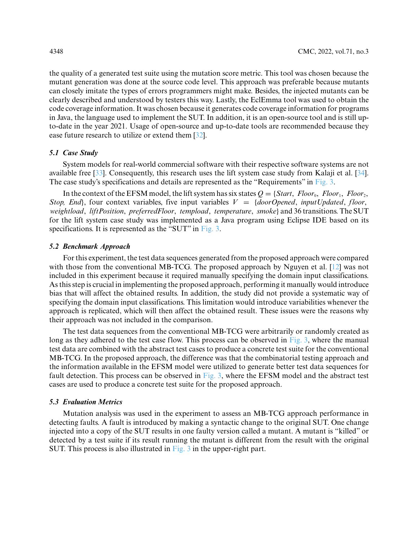the quality of a generated test suite using the mutation score metric. This tool was chosen because the mutant generation was done at the source code level. This approach was preferable because mutants can closely imitate the types of errors programmers might make. Besides, the injected mutants can be clearly described and understood by testers this way. Lastly, the EclEmma tool was used to obtain the code coverage information. It was chosen because it generates code coverage information for programs in Java, the language used to implement the SUT. In addition, it is an open-source tool and is still upto-date in the year 2021. Usage of open-source and up-to-date tools are recommended because they ease future research to utilize or extend them [\[32\]](#page-17-1).

# *5.1 Case Study*

System models for real-world commercial software with their respective software systems are not available free [\[33\]](#page-17-2). Consequently, this research uses the lift system case study from Kalaji et al. [\[34\]](#page-17-3). The case study's specifications and details are represented as the "Requirements" in [Fig. 3.](#page-10-0)

In the context of the EFSM model, the lift system has six states  $Q = \{Start, Floor_0, Floor_1, Floor_2,$ *Stop, End*, four context variables, five input variables  $V = \{doorOpend, inputUpdate, floor,$ *weightload*, *liftPosition*, *preferredFloor*, *tempload*, *temperature*, *smoke*} and 36 transitions. The SUT for the lift system case study was implemented as a Java program using Eclipse IDE based on its specifications. It is represented as the "SUT" in [Fig. 3.](#page-10-0)

# *5.2 Benchmark Approach*

For this experiment, the test data sequences generated from the proposed approach were compared with those from the conventional MB-TCG. The proposed approach by Nguyen et al. [\[12\]](#page-16-1) was not included in this experiment because it required manually specifying the domain input classifications. As this step is crucial in implementing the proposed approach, performing it manually would introduce bias that will affect the obtained results. In addition, the study did not provide a systematic way of specifying the domain input classifications. This limitation would introduce variabilities whenever the approach is replicated, which will then affect the obtained result. These issues were the reasons why their approach was not included in the comparison.

The test data sequences from the conventional MB-TCG were arbitrarily or randomly created as long as they adhered to the test case flow. This process can be observed in [Fig. 3,](#page-10-0) where the manual test data are combined with the abstract test cases to produce a concrete test suite for the conventional MB-TCG. In the proposed approach, the difference was that the combinatorial testing approach and the information available in the EFSM model were utilized to generate better test data sequences for fault detection. This process can be observed in [Fig. 3,](#page-10-0) where the EFSM model and the abstract test cases are used to produce a concrete test suite for the proposed approach.

#### *5.3 Evaluation Metrics*

Mutation analysis was used in the experiment to assess an MB-TCG approach performance in detecting faults. A fault is introduced by making a syntactic change to the original SUT. One change injected into a copy of the SUT results in one faulty version called a mutant. A mutant is "killed" or detected by a test suite if its result running the mutant is different from the result with the original SUT. This process is also illustrated in [Fig. 3](#page-10-0) in the upper-right part.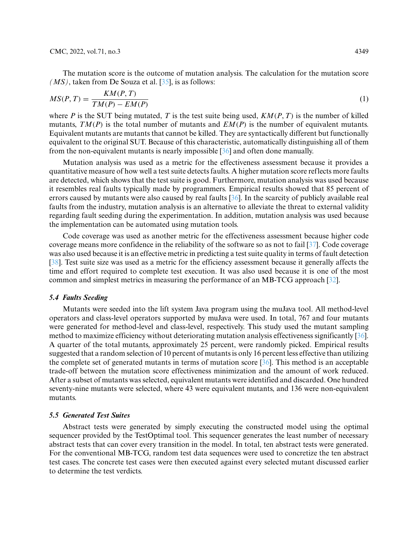The mutation score is the outcome of mutation analysis. The calculation for the mutation score  $(MS)$ , taken from De Souza et al.  $[35]$ , is as follows:

$$
MS(P,T) = \frac{KM(P,T)}{TM(P) - EM(P)}\tag{1}
$$

where *P* is the SUT being mutated, *T* is the test suite being used,  $KM(P, T)$  is the number of killed mutants, *TM(P)* is the total number of mutants and *EM(P)* is the number of equivalent mutants. Equivalent mutants are mutants that cannot be killed. They are syntactically different but functionally equivalent to the original SUT. Because of this characteristic, automatically distinguishing all of them from the non-equivalent mutants is nearly impossible [\[36\]](#page-17-5) and often done manually.

Mutation analysis was used as a metric for the effectiveness assessment because it provides a quantitative measure of how well a test suite detects faults. A higher mutation score reflects more faults are detected, which shows that the test suite is good. Furthermore, mutation analysis was used because it resembles real faults typically made by programmers. Empirical results showed that 85 percent of errors caused by mutants were also caused by real faults [\[36\]](#page-17-5). In the scarcity of publicly available real faults from the industry, mutation analysis is an alternative to alleviate the threat to external validity regarding fault seeding during the experimentation. In addition, mutation analysis was used because the implementation can be automated using mutation tools.

Code coverage was used as another metric for the effectiveness assessment because higher code coverage means more confidence in the reliability of the software so as not to fail [\[37\]](#page-17-6). Code coverage was also used because it is an effective metric in predicting a test suite quality in terms of fault detection [\[38\]](#page-17-7). Test suite size was used as a metric for the efficiency assessment because it generally affects the time and effort required to complete test execution. It was also used because it is one of the most common and simplest metrics in measuring the performance of an MB-TCG approach [\[32\]](#page-17-1).

#### *5.4 Faults Seeding*

Mutants were seeded into the lift system Java program using the muJava tool. All method-level operators and class-level operators supported by muJava were used. In total, 767 and four mutants were generated for method-level and class-level, respectively. This study used the mutant sampling method to maximize efficiency without deteriorating mutation analysis effectiveness significantly [\[36\]](#page-17-5). A quarter of the total mutants, approximately 25 percent, were randomly picked. Empirical results suggested that a random selection of 10 percent of mutants is only 16 percent less effective than utilizing the complete set of generated mutants in terms of mutation score [\[36\]](#page-17-5). This method is an acceptable trade-off between the mutation score effectiveness minimization and the amount of work reduced. After a subset of mutants was selected, equivalent mutants were identified and discarded. One hundred seventy-nine mutants were selected, where 43 were equivalent mutants, and 136 were non-equivalent mutants.

#### *5.5 Generated Test Suites*

Abstract tests were generated by simply executing the constructed model using the optimal sequencer provided by the TestOptimal tool. This sequencer generates the least number of necessary abstract tests that can cover every transition in the model. In total, ten abstract tests were generated. For the conventional MB-TCG, random test data sequences were used to concretize the ten abstract test cases. The concrete test cases were then executed against every selected mutant discussed earlier to determine the test verdicts.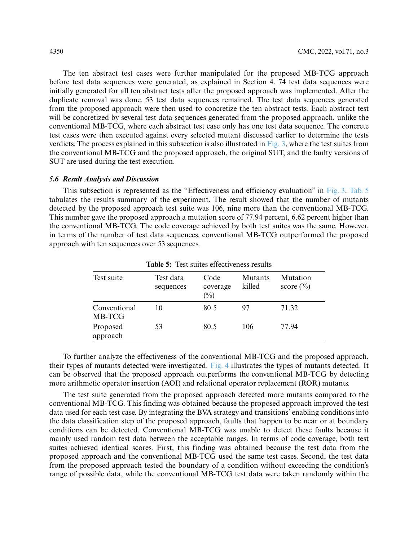The ten abstract test cases were further manipulated for the proposed MB-TCG approach before test data sequences were generated, as explained in Section 4. 74 test data sequences were initially generated for all ten abstract tests after the proposed approach was implemented. After the duplicate removal was done, 53 test data sequences remained. The test data sequences generated from the proposed approach were then used to concretize the ten abstract tests. Each abstract test will be concretized by several test data sequences generated from the proposed approach, unlike the conventional MB-TCG, where each abstract test case only has one test data sequence. The concrete test cases were then executed against every selected mutant discussed earlier to determine the tests verdicts. The process explained in this subsection is also illustrated in [Fig. 3,](#page-10-0) where the test suites from the conventional MB-TCG and the proposed approach, the original SUT, and the faulty versions of SUT are used during the test execution.

#### *5.6 Result Analysis and Discussion*

This subsection is represented as the "Effectiveness and efficiency evaluation" in [Fig. 3.](#page-10-0) [Tab. 5](#page-13-0) tabulates the results summary of the experiment. The result showed that the number of mutants detected by the proposed approach test suite was 106, nine more than the conventional MB-TCG. This number gave the proposed approach a mutation score of 77.94 percent, 6.62 percent higher than the conventional MB-TCG. The code coverage achieved by both test suites was the same. However, in terms of the number of test data sequences, conventional MB-TCG outperformed the proposed approach with ten sequences over 53 sequences.

<span id="page-13-0"></span>

| Test suite             | Test data<br>sequences | Code<br>coverage<br>$(\%)$ | Mutants<br>killed | Mutation<br>score $(\%$ |
|------------------------|------------------------|----------------------------|-------------------|-------------------------|
| Conventional<br>MB-TCG | 10                     | 80.5                       | 97                | 71.32                   |
| Proposed<br>approach   | 53                     | 80.5                       | 106               | 77.94                   |

**Table 5:** Test suites effectiveness results

To further analyze the effectiveness of the conventional MB-TCG and the proposed approach, their types of mutants detected were investigated. [Fig. 4](#page-14-0) illustrates the types of mutants detected. It can be observed that the proposed approach outperforms the conventional MB-TCG by detecting more arithmetic operator insertion (AOI) and relational operator replacement (ROR) mutants.

The test suite generated from the proposed approach detected more mutants compared to the conventional MB-TCG. This finding was obtained because the proposed approach improved the test data used for each test case. By integrating the BVA strategy and transitions' enabling conditions into the data classification step of the proposed approach, faults that happen to be near or at boundary conditions can be detected. Conventional MB-TCG was unable to detect these faults because it mainly used random test data between the acceptable ranges. In terms of code coverage, both test suites achieved identical scores. First, this finding was obtained because the test data from the proposed approach and the conventional MB-TCG used the same test cases. Second, the test data from the proposed approach tested the boundary of a condition without exceeding the condition's range of possible data, while the conventional MB-TCG test data were taken randomly within the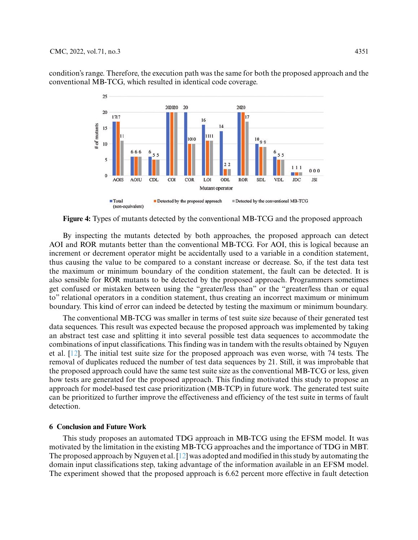

condition's range. Therefore, the execution path was the same for both the proposed approach and the conventional MB-TCG, which resulted in identical code coverage.

<span id="page-14-0"></span>**Figure 4:** Types of mutants detected by the conventional MB-TCG and the proposed approach

By inspecting the mutants detected by both approaches, the proposed approach can detect AOI and ROR mutants better than the conventional MB-TCG. For AOI, this is logical because an increment or decrement operator might be accidentally used to a variable in a condition statement, thus causing the value to be compared to a constant increase or decrease. So, if the test data test the maximum or minimum boundary of the condition statement, the fault can be detected. It is also sensible for ROR mutants to be detected by the proposed approach. Programmers sometimes get confused or mistaken between using the "greater/less than" or the "greater/less than or equal to" relational operators in a condition statement, thus creating an incorrect maximum or minimum boundary. This kind of error can indeed be detected by testing the maximum or minimum boundary.

The conventional MB-TCG was smaller in terms of test suite size because of their generated test data sequences. This result was expected because the proposed approach was implemented by taking an abstract test case and splitting it into several possible test data sequences to accommodate the combinations of input classifications. This finding was in tandem with the results obtained by Nguyen et al. [\[12\]](#page-16-1). The initial test suite size for the proposed approach was even worse, with 74 tests. The removal of duplicates reduced the number of test data sequences by 21. Still, it was improbable that the proposed approach could have the same test suite size as the conventional MB-TCG or less, given how tests are generated for the proposed approach. This finding motivated this study to propose an approach for model-based test case prioritization (MB-TCP) in future work. The generated test suite can be prioritized to further improve the effectiveness and efficiency of the test suite in terms of fault detection.

# **6 Conclusion and Future Work**

This study proposes an automated TDG approach in MB-TCG using the EFSM model. It was motivated by the limitation in the existing MB-TCG approaches and the importance of TDG in MBT. The proposed approach by Nguyen et al. [\[12\]](#page-16-1) was adopted and modified in this study by automating the domain input classifications step, taking advantage of the information available in an EFSM model. The experiment showed that the proposed approach is 6.62 percent more effective in fault detection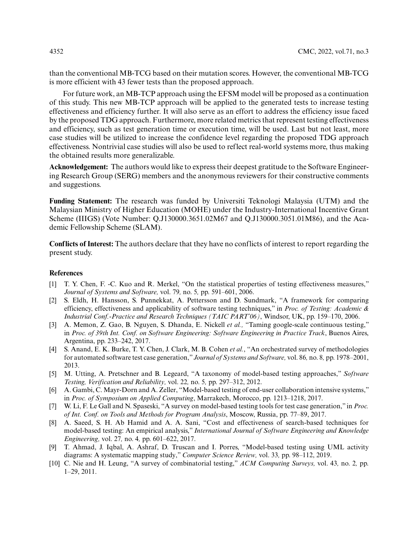than the conventional MB-TCG based on their mutation scores. However, the conventional MB-TCG is more efficient with 43 fewer tests than the proposed approach.

For future work, an MB-TCP approach using the EFSM model will be proposed as a continuation of this study. This new MB-TCP approach will be applied to the generated tests to increase testing effectiveness and efficiency further. It will also serve as an effort to address the efficiency issue faced by the proposed TDG approach. Furthermore, more related metrics that represent testing effectiveness and efficiency, such as test generation time or execution time, will be used. Last but not least, more case studies will be utilized to increase the confidence level regarding the proposed TDG approach effectiveness. Nontrivial case studies will also be used to reflect real-world systems more, thus making the obtained results more generalizable.

**Acknowledgement:** The authors would like to express their deepest gratitude to the Software Engineering Research Group (SERG) members and the anonymous reviewers for their constructive comments and suggestions.

**Funding Statement:** The research was funded by Universiti Teknologi Malaysia (UTM) and the Malaysian Ministry of Higher Education (MOHE) under the Industry-International Incentive Grant Scheme (IIIGS) (Vote Number: Q.J130000.3651.02M67 and Q.J130000.3051.01M86), and the Academic Fellowship Scheme (SLAM).

**Conflicts of Interest:** The authors declare that they have no conflicts of interest to report regarding the present study.

# **References**

- <span id="page-15-0"></span>[1] T. Y. Chen, F. -C. Kuo and R. Merkel, "On the statistical properties of testing effectiveness measures," *Journal of Systems and Software,* vol. 79*,* no. 5*,* pp. 591–601, 2006.
- <span id="page-15-1"></span>[2] S. Eldh, H. Hansson, S. Punnekkat, A. Pettersson and D. Sundmark, "A framework for comparing efficiency, effectiveness and applicability of software testing techniques," in *Proc. of Testing: Academic & Industrial Conf.-Practice and Research Techniques (TAIC PART'06)*, Windsor, UK, pp. 159–170, 2006.
- <span id="page-15-2"></span>[3] A. Memon, Z. Gao, B. Nguyen, S. Dhanda, E. Nickell *et al.,* "Taming google-scale continuous testing," in *Proc. of 39th Int. Conf. on Software Engineering: Software Engineering in Practice Track*, Buenos Aires, Argentina, pp. 233–242, 2017.
- <span id="page-15-3"></span>[4] S. Anand, E. K. Burke, T. Y. Chen, J. Clark, M. B. Cohen *et al.*, "An orchestrated survey of methodologies for automated software test case generation,"*Journal of Systems and Software,* vol. 86*,* no. 8*,* pp. 1978–2001, 2013.
- <span id="page-15-4"></span>[5] M. Utting, A. Pretschner and B. Legeard, "A taxonomy of model-based testing approaches," *Software Testing, Verification and Reliability,* vol. 22*,* no. 5*,* pp. 297–312, 2012.
- <span id="page-15-5"></span>[6] A. Gambi, C. Mayr-Dorn and A. Zeller, "Model-based testing of end-user collaboration intensive systems," in *Proc. of Symposium on Applied Computing*, Marrakech, Morocco, pp. 1213–1218, 2017.
- <span id="page-15-6"></span>[7] W. Li, F. Le Gall and N. Spaseski, "A survey on model-based testing tools for test case generation," in *Proc. of Int. Conf. on Tools and Methods for Program Analysis*, Moscow, Russia, pp. 77–89, 2017.
- <span id="page-15-7"></span>[8] A. Saeed, S. H. Ab Hamid and A. A. Sani, "Cost and effectiveness of search-based techniques for model-based testing: An empirical analysis," *International Journal of Software Engineering and Knowledge Engineering,* vol. 27*,* no. 4*,* pp. 601–622, 2017.
- <span id="page-15-8"></span>[9] T. Ahmad, J. Iqbal, A. Ashraf, D. Truscan and I. Porres, "Model-based testing using UML activity diagrams: A systematic mapping study," *Computer Science Review,* vol. 33*,* pp. 98–112, 2019.
- <span id="page-15-9"></span>[10] C. Nie and H. Leung, "A survey of combinatorial testing," *ACM Computing Surveys,* vol. 43*,* no. 2*,* pp. 1–29, 2011.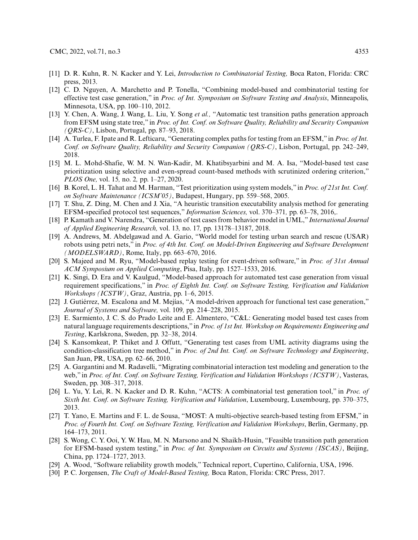- <span id="page-16-0"></span>[11] D. R. Kuhn, R. N. Kacker and Y. Lei, *Introduction to Combinatorial Testing,* Boca Raton, Florida: CRC press, 2013.
- <span id="page-16-1"></span>[12] C. D. Nguyen, A. Marchetto and P. Tonella, "Combining model-based and combinatorial testing for effective test case generation," in *Proc. of Int. Symposium on Software Testing and Analysis*, Minneapolis, Minnesota, USA, pp. 100–110, 2012.
- <span id="page-16-2"></span>[13] Y. Chen, A. Wang, J. Wang, L. Liu, Y. Song *et al.,* "Automatic test transition paths generation approach from EFSM using state tree," in *Proc. of Int. Conf. on Software Quality, Reliability and Security Companion (QRS-C)*, Lisbon, Portugal, pp. 87–93, 2018.
- <span id="page-16-3"></span>[14] A. Turlea, F. Ipate and R. Lefticaru, "Generating complex paths for testing from an EFSM," in *Proc. of Int. Conf. on Software Quality, Reliability and Security Companion (QRS-C)*, Lisbon, Portugal, pp. 242–249, 2018.
- <span id="page-16-4"></span>[15] M. L. Mohd-Shafie, W. M. N. Wan-Kadir, M. Khatibsyarbini and M. A. Isa, "Model-based test case prioritization using selective and even-spread count-based methods with scrutinized ordering criterion," *PLOS One,* vol. 15*,* no. 2*,* pp. 1–27, 2020.
- <span id="page-16-5"></span>[16] B. Korel, L. H. Tahat and M. Harman, "Test prioritization using system models," in *Proc. of 21st Int. Conf. on Software Maintenance (ICSM'05)*, Budapest, Hungary, pp. 559–568, 2005.
- <span id="page-16-6"></span>[17] T. Shu, Z. Ding, M. Chen and J. Xia, "A heuristic transition executability analysis method for generating EFSM-specified protocol test sequences," *Information Sciences,* vol. 370–371*,* pp. 63–78, 2016,.
- <span id="page-16-7"></span>[18] P. Kamath and V. Narendra, "Generation of test cases from behavior model in UML," *International Journal of Applied Engineering Research,* vol. 13*,* no. 17*,* pp. 13178–13187, 2018.
- <span id="page-16-8"></span>[19] A. Andrews, M. Abdelgawad and A. Gario, "World model for testing urban search and rescue (USAR) robots using petri nets," in *Proc. of 4th Int. Conf. on Model-Driven Engineering and Software Development (MODELSWARD)*, Rome, Italy, pp. 663–670, 2016.
- <span id="page-16-9"></span>[20] S. Majeed and M. Ryu, "Model-based replay testing for event-driven software," in *Proc. of 31st Annual ACM Symposium on Applied Computing*, Pisa, Italy, pp. 1527–1533, 2016.
- <span id="page-16-10"></span>[21] K. Singi, D. Era and V. Kaulgud, "Model-based approach for automated test case generation from visual requirement specifications," in *Proc. of Eighth Int. Conf. on Software Testing, Verification and Validation Workshops (ICSTW)*, Graz, Austria, pp. 1–6, 2015.
- <span id="page-16-11"></span>[22] J. Gutiérrez, M. Escalona and M. Mejías, "A model-driven approach for functional test case generation," *Journal of Systems and Software,* vol. 109*,* pp. 214–228, 2015.
- <span id="page-16-12"></span>[23] E. Sarmiento, J. C. S. do Prado Leite and E. Almentero, "C&L: Generating model based test cases from natural language requirements descriptions," in *Proc. of 1st Int. Workshop on Requirements Engineering and Testing*, Karlskrona, Sweden, pp. 32–38, 2014.
- <span id="page-16-13"></span>[24] S. Kansomkeat, P. Thiket and J. Offutt, "Generating test cases from UML activity diagrams using the condition-classification tree method," in *Proc. of 2nd Int. Conf. on Software Technology and Engineering*, San Juan, PR, USA, pp. 62–66, 2010.
- <span id="page-16-14"></span>[25] A. Gargantini and M. Radavelli, "Migrating combinatorial interaction test modeling and generation to the web," in *Proc. of Int. Conf. on Software Testing, Verification and Validation Workshops (ICSTW)*, Vasteras, Sweden, pp. 308–317, 2018.
- <span id="page-16-15"></span>[26] L. Yu, Y. Lei, R. N. Kacker and D. R. Kuhn, "ACTS: A combinatorial test generation tool," in *Proc. of Sixth Int. Conf. on Software Testing, Verification and Validation*, Luxembourg, Luxembourg, pp. 370–375, 2013.
- <span id="page-16-16"></span>[27] T. Yano, E. Martins and F. L. de Sousa, "MOST: A multi-objective search-based testing from EFSM," in *Proc. of Fourth Int. Conf. on Software Testing, Verification and Validation Workshops*, Berlin, Germany, pp. 164–173, 2011.
- <span id="page-16-17"></span>[28] S. Wong, C. Y. Ooi, Y. W. Hau, M. N. Marsono and N. Shaikh-Husin, "Feasible transition path generation for EFSM-based system testing," in *Proc. of Int. Symposium on Circuits and Systems (ISCAS)*, Beijing, China, pp. 1724–1727, 2013.
- <span id="page-16-18"></span>[29] A. Wood, "Software reliability growth models," Technical report, Cupertino, California, USA, 1996.
- <span id="page-16-19"></span>[30] P. C. Jorgensen, *The Craft of Model-Based Testing,* Boca Raton, Florida: CRC Press, 2017.